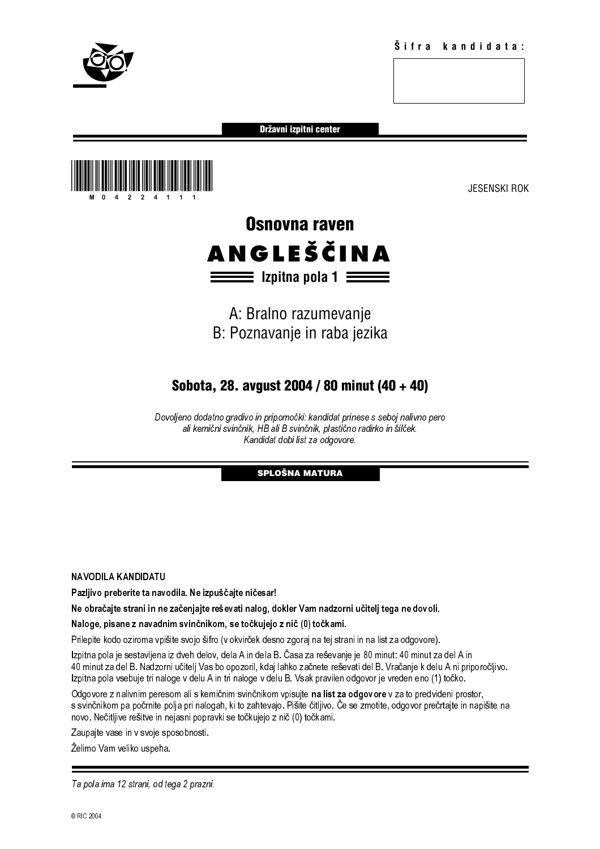

Državni izpitni center



# Osnovna raven **ANGLE[^INA**   $\equiv$  Izpitna pola 1

A: Bralno razumevanje B: Poznavanje in raba jezika

# Sobota, 28. avgust 2004 / 80 minut (40 + 40)

Dovoljeno dodatno gradivo in pripomočki: kandidat prinese s seboj nalivno pero ali kemični svinčnik, HB ali B svinčnik, plastično radirko in šilček. Kandidat dobi list za odgovore.

### SPLOŠNA MATURA

NAVODILA KANDIDATU

Pazljivo preberite ta navodila. Ne izpuščajte ničesar!

Ne obračajte strani in ne začenjajte reševati nalog, dokler Vam nadzorni učitelj tega ne dovoli.

Naloge, pisane z navadnim svinčnikom, se točkujejo z nič (0) točkami.

Prilepite kodo oziroma vpišite svojo šifro (v okvirček desno zgoraj na tej strani in na list za odgovore).

ali kemični svinčnik, HB ali B svinčnik, plastično radirko in šilček.<br>
Kandidat dobi ilst za odgovore.<br>
SPI-OSIMA MATUHA<br>
SPI-OSIMA MATUHA<br>
SPI-OSIMA MATUHA<br>
SPI-OSIMA MATUHA<br>
ND razečenjajte reševati nalog, dokler Vam nad Kandidat dobi list za odgovore.<br> **SPLOŠNA MATURA**<br> **SPLOŠNA MATURA**<br> **a.** Ne izpuščajte ničesar!<br>
enjajte reševati nalog, dokler Vam nadzorni učitelj tega ne de<br>
svinčnikom, se točkujejo z nič (0) točkami.<br>
svojo šifro (v **SPLOŠNA MATURA**<br> **SPLOŠNA MATURA**<br>
ničesar!<br>
nalog, dokler Vam nadzorni<br>
icček desno zgoraj na tej strani<br>
icček desno zgoraj na tej strani<br>
ich dela B. Časa za reševanje j<br>
oril, kdaj lahko začnete reševa<br>
oge v delu B. Izpitna pola je sestavljena iz dveh delov, dela A in dela B. Časa za reševanje je 80 minut: 40 minut za del A in 40 minut za del B. Nadzorni učitelj Vas bo opozoril, kdaj lahko začnete reševati del B. Vračanje k delu A ni priporočljivo. Izpitna pola vsebuje tri naloge v delu A in tri naloge v delu B. Vsak pravilen odgovor je vreden eno (1) točko.

Odgovore z nalivnim peresom ali s kemičnim svinčnikom vpisujte na list za odgovore v za to predvideni prostor, s svinčnikom pa počrnite polja pri nalogah, ki to zahtevajo. Pišite čitljivo. Če se zmotite, odgovor prečrtajte in napišite na novo. Nečitljive rešitve in nejasni popravki se točkujejo z nič (0) točkami.

Zaupajte vase in v svoje sposobnosti.

Želimo Vam veliko uspeha.

Ta pola ima 12 strani, od tega 2 prazni.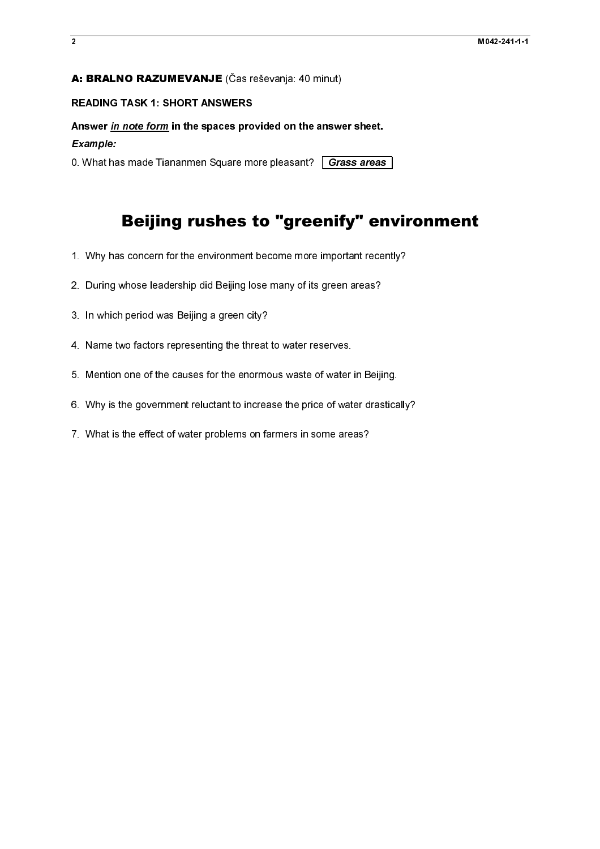### A: BRALNO RAZUMEVANJE (Čas reševanja: 40 minut)

**A: BRALNO RAZUMEVANJE** (Čas reševanja: 40 minut)<br>READING TASK 1: SHORT ANSWERS<br>Answer <u>In note form</u> in the spaces provided on the answer more the spaces provided on the answer more present<br>C. What has made Tiananmen Squa Market *in note form* in the spaces pro<br>Answer <u>in note form</u> in the spaces pro<br>Example:<br>0. What has made Tiananmen Square me<br>**Beijing rushes** 1<br>1. Why has concern for the environment<br>2. During whose leadership did Beijing Answer in note form in the spaces provided on the answer sheet.<br>Example:<br>
C. What has made Tiananmen Square more pleasant? Corress areas<br> **Beijing rushes to "greenify" er**<br>
1. Why has concern for the environment become mor Example:

# **Delijing rushes to "greenify" en**<br>
1. Why has concern for the environment become more important recerned.<br>
2. During whose leadership did Beijing lose many of its green areas?<br>
3. In which period was Beijing a green city? Beijing rushes to "greenify" environment

- 
- 
- 
- 
- 2. In which period was Beijing a green city?<br>2. Name two factors representing the threat to water reserves.<br>5. Mention one of the causes for the enormous waste of water in Beiji<br>5. Why is the government reluctant to increa 4. Name two factors representing the threat<br>5. Mention one of the causes for the enormor<br>6. Why is the government reluctant to increa<br>7. What is the effect of water problems on fa 4. Name the term of the causes for the enormous waste of water<br>6. Why is the government reluctant to increase the price of water.<br>7. What is the effect of water problems on farmers in some are
- 2. During whose leadership did Beijing lose many of its green areas?<br>3. In which period was Beijing a green city?<br>4. Name two factors representing the threat to water reserves.<br>5. Mention one of the causes for the enormous 5. Why is the government reluctant to increase the price of water drastical.<br>6. Why is the government reluctant to increase the price of water drastical.<br>7. What is the effect of water problems on farmers in some areas?
- Fig. 1. What is the effect of water problems on farmers in some areas?<br>T. What is the effect of water problems on farmers in some areas?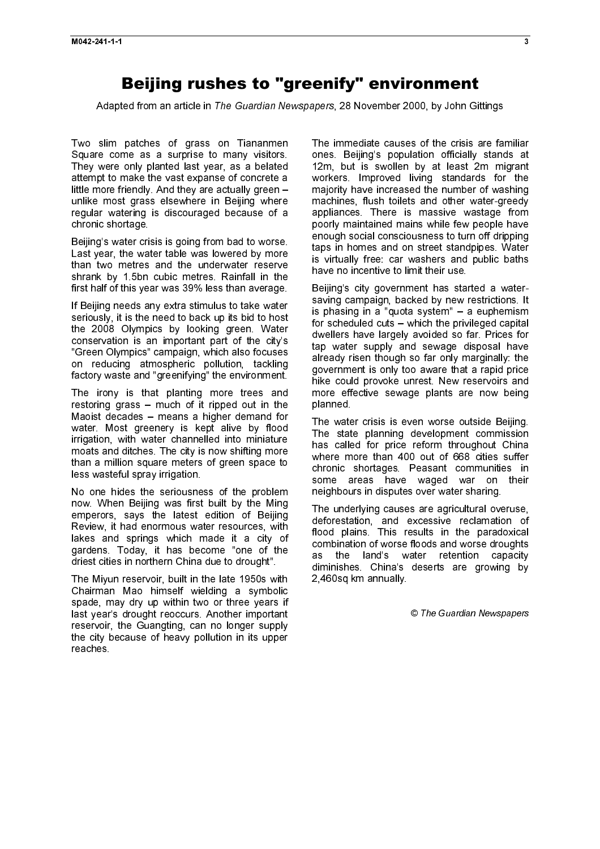# bei fram an extints in The Cuerdian Neuenannes. 20 Neuenaher 2000, by Jahr Citt

Adapted from an article in The Guardian Newspapers, 28 November 2000, by John Gittings

Two slim patches of grass on Tiananmen Square come as a surprise to many visitors. They were only planted last year, as a belated attempt to make the vast expanse of concrete a little more friendly. And they are actually green – unlike most grass elsewhere in Beijing where regular watering is discouraged because of a chronic shortage.

Beijing's water crisis is going from bad to worse. Last year, the water table was lowered by more than two metres and the underwater reserve shrank by 1.5bn cubic metres. Rainfall in the first half of this year was 39% less than average.

If Beijing needs any extra stimulus to take water seriously, it is the need to back up its bid to host the 2008 Olympics by looking green. Water conservation is an important part of the city's "Green Olympics" campaign, which also focuses on reducing atmospheric pollution, tackling factory waste and "greenifying" the environment.

The irony is that planting more trees and restoring grass – much of it ripped out in the Maoist decades – means a higher demand for water. Most greenery is kept alive by flood irrigation, with water channelled into miniature moats and ditches. The city is now shifting more than a million square meters of green space to less wasteful spray irrigation.

No one hides the seriousness of the problem now. When Beijing was first built by the Ming emperors, says the latest edition of Beijing Review, it had enormous water resources, with lakes and springs which made it a city of gardens. Today, it has become "one of the driest cities in northern China due to drought".

The Miyun reservoir, built in the late 1950s with Chairman Mao himself wielding a symbolic spade, may dry up within two or three years if last year's drought reoccurs. Another important reservoir, the Guangting, can no longer supply the city because of heavy pollution in its upper reaches.

The immediate causes of the crisis are familiar ones. Beijing's population officially stands at 12m, but is swollen by at least 2m migrant workers. Improved living standards for the majority have increased the number of washing machines, flush toilets and other water-greedy appliances. There is massive wastage from poorly maintained mains while few people have enough social consciousness to turn off dripping taps in homes and on street standpipes. Water is virtually free: car washers and public baths have no incentive to limit their use.

Beijing's city government has started a watersaving campaign, backed by new restrictions. It is phasing in a "quota system" – a euphemism for scheduled cuts – which the privileged capital dwellers have largely avoided so far. Prices for tap water supply and sewage disposal have already risen though so far only marginally: the government is only too aware that a rapid price hike could provoke unrest. New reservoirs and more effective sewage plants are now being planned.

The water crisis is even worse outside Beijing. The state planning development commission has called for price reform throughout China where more than 400 out of 668 cities suffer chronic shortages. Peasant communities in some areas have waged war on their neighbours in disputes over water sharing.

The underlying causes are agricultural overuse, deforestation, and excessive reclamation of flood plains. This results in the paradoxical combination of worse floods and worse droughts as the land's water retention capacity diminishes. China's deserts are growing by 2,460sq km annually.

© The Guardian Newspapers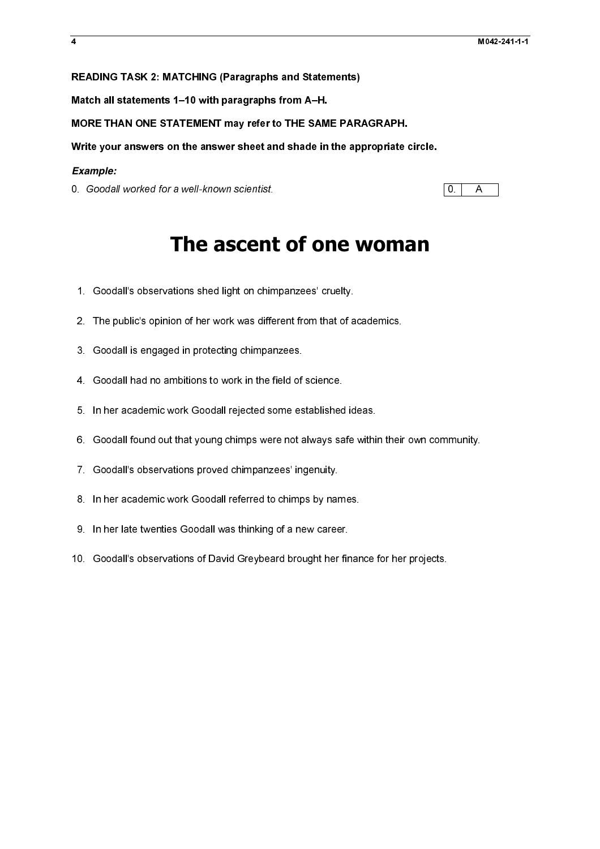READING TASK 2: MATCHING (Paragraphs and Statements)

Match all statements 1–10 with paragraphs from A–H.

MORE THAN ONE STATEMENT may refer to THE SAME PARAGRAPH.

Write your answers on the answer sheet and shade in the appropriate circle.

### *Example:*

0. Goodall worked for a well-known scientist.

 $\vert 0 \vert$ A

# 0. Goodall worked for a well-known scientist.<br>
The ascent of one woman<br>
1. Goodall's observations shed light on chimpanzeer' snully<br>
2. The publicist opinion of her work was different from the of academics<br>
3. Goodall is e The ascent of one woman

- 1. Goodall's observations shed light on chimpanzees' cruelty.
- 1. Goodall's observations shed light on chimpanzees' cruelty.<br>
2. The public's opinion of her work was different from that of a<br>
3. Goodall is engaged in protecting chimpanzees.<br>
4. Goodall had no ambitions to work in the 2. The public's opinion of her work was different from that of academics.
- 3. Goodall is engaged in protecting chimpanzees.
- 3. Goodall had no ambitions to work in the field of<br>3. In her academic work Goodall rejected some es<br>3. Goodall's observations proved chimpanzees' ing<br>3. In her academic work Goodall referred to chimp<br>3. In her late twenti 4. Goodall had no ambitions to work in the field of science.
- 5. In her academic work Goodall rejected some established ideas.
- 6. Goodall found out that young chimps were not always safe within their own community.
- 7. Goodall's observations proved chimpanzees' ingenuity.
- 8. In her academic work Goodall referred to chimps by names.
- 9. In her late twenties Goodall was thinking of a new career.
- 2. The public's opinion of her work was different from that of academics.<br>3. Goodall is engaged in protecting chimpanzees.<br>4. Goodall had no ambitions to work in the field of science.<br>5. In her academic work Goodall reject 4. The racademic work Goodall rejected some established<br>6. Goodall found out that young chimps were not always sa<br>7. Goodall's observations proved chimpanzees' ingenuity.<br>8. In her academic work Goodall referred to chimps 5. Goodall found out that young chimps were not always safe within<br>7. Goodall's observations proved chimpanzees' ingenuity.<br>8. In her academic work Goodall referred to chimps by names.<br>9. In her late twenties Goodall was t F. Goodall's observations proved chimpanzees' ingenuity.<br>
6. In her academic work Goodall referred to chimps by names.<br>
9. In her late twenties Goodall was thinking of a new career.<br>
10. Goodall's observations of David Gre 7. Goodall's observations proved chimpanzees' ingenuity.<br>8. In her academic work Goodall referred to chimps by nar<br>9. In her late twenties Goodall was thinking of a new caree<br>10. Goodall's observations of David Greybeard b 9. In her late twenties Goodall was thinking of a new career.<br>10. Goodall's observations of David Greybeard brought her finances.<br>10. Goodall's observations of David Greybeard brought her finances. 9. In Goodall's observations of David Greybeard brought her finant<br>intervalsed was the finance of a new career. The matrix<br>of a new career of a new career. The matrix of a new career of a new career. The<br>intervalsed was th 10. Goodall's observations of David Greybeard brought her finance for her projects. 10. Goodall's observations of David Greybeard brought her finance for her projects.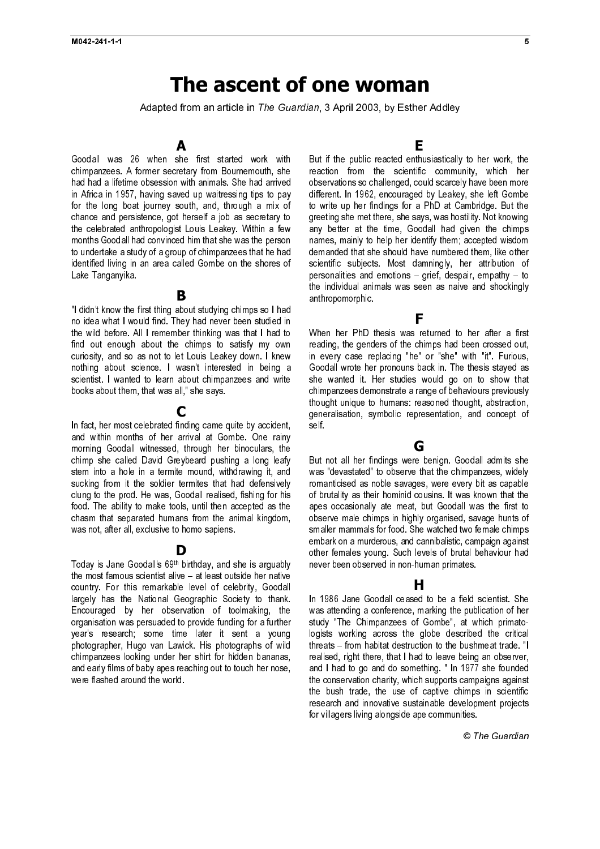# The ascent of one woman

Goodall was 26 when she first started work with chimpanzees. A former secretary from Bournemouth, she had had a lifetime obsession with animals. She had arrived in Africa in 1957, having saved up waitressing tips to pay for the long boat journey south, and, through a mix of chance and persistence, got herself a job as secretary to the celebrated anthropologist Louis Leakey. Within a few months Goodall had convinced him that she was the person to undertake a study of a group of chimpanzees that he had identified living in an area called Gombe on the shores of Lake Tanganyika.

### B

"I didn't know the first thing about studying chimps so I had no idea what I would find. They had never been studied in the wild before. All I remember thinking was that I had to find out enough about the chimps to satisfy my own curiosity, and so as not to let Louis Leakey down. I knew nothing about science. I wasn't interested in being a scientist. I wanted to learn about chimpanzees and write books about them, that was all," she says.

## C

In fact, her most celebrated finding came quite by accident, and within months of her arrival at Gombe. One rainy morning Goodall witnessed, through her binoculars, the chimp she called David Greybeard pushing a long leafy stem into a hole in a termite mound, withdrawing it, and sucking from it the soldier termites that had defensively clung to the prod. He was, Goodall realised, fishing for his food. The ability to make tools, until then accepted as the chasm that separated humans from the animal kingdom, was not, after all, exclusive to homo sapiens.

### D

(Chinfothial Ftforsk landssofter Ttdhied)に (Chinfothil = htfchwb landword TtchEcyptery - Contribut = http://www.com/ Today is Jane Goodall's 69th birthday, and she is arguably the most famous scientist alive – at least outside her native country. For this remarkable level of celebrity, Goodall largely has the National Geographic Society to thank. Encouraged by her observation of toolmaking, the organisation was persuaded to provide funding for a further year's research; some time later it sent a young photographer, Hugo van Lawick. His photographs of wild chimpanzees looking under her shirt for hidden bananas, and early films of baby apes reaching out to touch her nose, were flashed around the world.

E

**A**<br>
When she first started work with But the pubic reacted efficions<br>in The society from Bournmandh and reaction from the solentic communisors on with an<br>invariang sevel up watersang to buy of the entit of costanting to But if the public reacted enthusiastically to her work, the reaction from the scientific community, which her observations so challenged, could scarcely have been more different. In 1962, encouraged by Leakey, she left Gombe to write up her findings for a PhD at Cambridge. But the greeting she met there, she says, was hostility. Not knowing any better at the time, Goodall had given the chimps names, mainly to help her identify them; accepted wisdom demanded that she should have numbered them, like other scientific subjects. Most damningly, her attribution of personalities and emotions – grief, despair, empathy – to the individual animals was seen as naive and shockingly anthropomorphic.

When her PhD thesis was returned to her after a first reading, the genders of the chimps had been crossed out, in every case replacing "he" or "she" with "it". Furious, Goodall wrote her pronouns back in. The thesis stayed as she wanted it. Her studies would go on to show that chimpanzees demonstrate a range of behaviours previously thought unique to humans: reasoned thought, abstraction, generalisation, symbolic representation, and concept of self.

F

### G

But not all her findings were benign. Goodall admits she was "devastated" to observe that the chimpanzees, widely romanticised as noble savages, were every bit as capable of brutality as their hominid cousins. It was known that the apes occasionally ate meat, but Goodall was the first to observe male chimps in highly organised, savage hunts of smaller mammals for food. She watched two female chimps embark on a murderous, and cannibalistic, campaign against other females young. Such levels of brutal behaviour had never been observed in non-human primates.

### H

In 1986 Jane Goodall ceased to be a field scientist. She was attending a conference, marking the publication of her study "The Chimpanzees of Gombe", at which primatologists working across the globe described the critical threats – from habitat destruction to the bushmeat trade. "I realised, right there, that I had to leave being an observer, and I had to go and do something. " In 1977 she founded the conservation charity, which supports campaigns against the bush trade, the use of captive chimps in scientific research and innovative sustainable development projects for villagers living alongside ape communities.

© The Guardian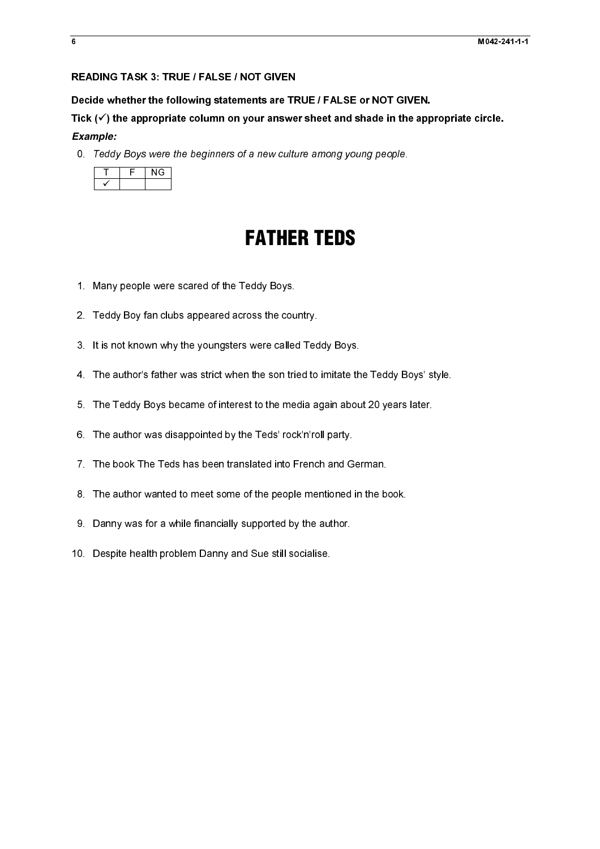### READING TASK 3: TRUE / FALSE / NOT GIVEN

Decide whether the following statements are TRUE / FALSE or NOT GIVEN.

Tick  $(\checkmark)$  the appropriate column on your answer sheet and shade in the appropriate circle. *Example:* 

0. Teddy Boys were the beginners of a new culture among young people.

# FATHER TEDS

- any people were<br>ddy Boy fan clul<br>s not known wh<sub>!</sub><br>le author's fathe<br>he Teddy Boys b<br>le author was dis<br>le book The Ted<br>author wanted<br>anny was for a w<br>espite health pro 1. Many people were scared of the Teddy Boys.
- 2. Teddy Boy fan clubs appeared across the country.
- 3. It is not known why the youngsters were called Teddy Boys.
- 0. Teddy Boys were the beginners of a new culture among young people.<br>  $\frac{1}{\sqrt{1-\frac{1}{\sqrt{1-\frac{1}{\sqrt{1-\frac{1}{\sqrt{1-\frac{1}{\sqrt{1-\frac{1}{\sqrt{1-\frac{1}{\sqrt{1-\frac{1}{\sqrt{1-\frac{1}{\sqrt{1-\frac{1}{\sqrt{1-\frac{1}{\sqrt{1-\frac{1}{\sqrt{1-\frac{1}{\sqrt{1-\frac{1}{\sqrt{1-\frac{1}{\sqrt{1-\frac{1}{\sqrt{1-\frac{1}{$ 2. Teddy Boy fan clubs appeared across the course of the control of the New York of the New York of the New York of the New York of the Teddy Boys became of interest to the meets. The Teddy Boys became of interest to the m 2. It is not known why the youngsters were called Ted<br>4. The author's father was strict when the son tried to<br>5. The Teddy Boys became of interest to the media a<sub>t</sub><br>6. The author was disappointed by the Teds' rock'n'ro<br>7. 3. The author's father was strict when the son tried to imitate th<br>3. The Teddy Boys became of interest to the media again about<br>6. The author was disappointed by the Teds' rock'n'roll party.<br>7. The book The Teds has been 4. The author's father was strict when the son tried to imitate the Teddy Boys' style.
- 4. The author's father was strict when the son tried to imitate the Teddy Boys' style.<br>5. The Teddy Boys became of interest to the media again about 20 years later.<br>6. The author was disappointed by the Teds' rock'n'roll p 5. The Teddy Boys became of interest to the media again about 20 years later.
- 6. The author was disappointed by the Teds' rock'n'roll party.
- 7. The book The Teds has been translated into French and German.
- 5. The author was disappointed by the Teds' rock'n'roll party.<br>
7. The book The Teds has been translated into French and German.<br>
8. The author wanted to meet some of the people mentioned in the book.<br>
9. Danny was for a w 6. The author was disappointed by the Teds' rock'n'roll party.<br>7. The book The Teds has been translated into French and G<br>8. The author wanted to meet some of the people mentioned<br>9. Danny was for a while financially suppo 8. The author wanted to meet some of the people mentioned in the been translated in the been set of the problem banny supported by the author.<br>10. Despite health problem Danny and Sue still socialise. 8. The author wanted to meet some of the people mentioned in the book.
- 8. Danny was for a while financially supported by the author.<br>10. Despite health problem Danny and Sue still socialise. 9. Danny was for a while financially supported by the author.
- 9. Despite health problem Danny and Sue still socialise.<br>10. Despite health problem Danny and Sue still socialise. 10. Despite health problem Danny and Sue still socialise. 10. Despite health problem Danny and Sue still socialise.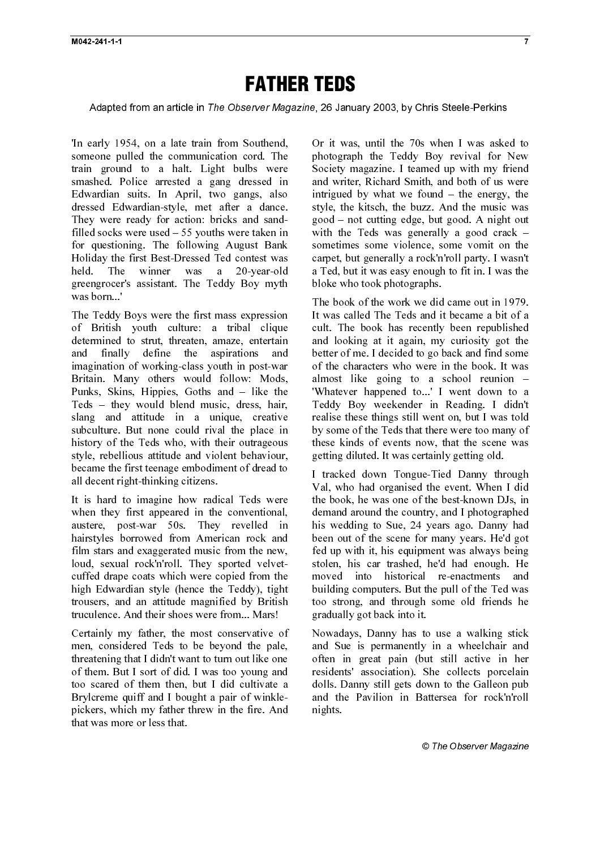# FATHER TEDS

'In early 1954, on a late train from Southend, someone pulled the communication cord. The train ground to a halt. Light bulbs were smashed. Police arrested a gang dressed in Edwardian suits. In April, two gangs, also dressed Edwardian-style, met after a dance. They were ready for action: bricks and sandfilled socks were used – 55 youths were taken in for questioning. The following August Bank Holiday the first Best-Dressed Ted contest was held. The winner was a 20-year-old greengrocer's assistant. The Teddy Boy myth was born...'

Early 1954, on a late train from Southout, Or it was until the 70s when I was also<br>conceptly the commutation cost. The absorption Leely Boy reversal for the<br>shock commutation cost. In a proposed in a mod writter Redact St - "st sh chiffhh wh h c c wilh h i sh wh h h chiffh chit C rt c th h kt - st sh cliffhh w r c c ailhe s sh sh a l r ahfl ch t t C r t c t l Ft The Teddy Boys were the first mass expression of British youth culture: a tribal clique determined to strut, threaten, amaze, entertain and finally define the aspirations and imagination of working-class youth in post-war Britain. Many others would follow: Mods, Punks, Skins, Hippies, Goths and – like the Teds – they would blend music, dress, hair, slang and attitude in a unique, creative subculture. But none could rival the place in history of the Teds who, with their outrageous style, rebellious attitude and violent behaviour, became the first teenage embodiment of dread to all decent right-thinking citizens.

It is hard to imagine how radical Teds were when they first appeared in the conventional, austere, post-war 50s. They revelled in hairstyles borrowed from American rock and film stars and exaggerated music from the new, loud, sexual rock'n'roll. They sported velvetcuffed drape coats which were copied from the high Edwardian style (hence the Teddy), tight trousers, and an attitude magnified by British truculence. And their shoes were from... Mars!

Certainly my father, the most conservative of men, considered Teds to be beyond the pale, threatening that I didn't want to turn out like one of them. But I sort of did. I was too young and too scared of them then, but I did cultivate a Brylcreme quiff and I bought a pair of winklepickers, which my father threw in the fire. And that was more or less that.

Or it was, until the 70s when I was asked to photograph the Teddy Boy revival for New Society magazine. I teamed up with my friend and writer, Richard Smith, and both of us were intrigued by what we found – the energy, the style, the kitsch, the buzz. And the music was good – not cutting edge, but good. A night out with the Teds was generally a good crack – sometimes some violence, some vomit on the carpet, but generally a rock'n'roll party. I wasn't a Ted, but it was easy enough to fit in. I was the bloke who took photographs.

The book of the work we did came out in 1979. It was called The Teds and it became a bit of a cult. The book has recently been republished and looking at it again, my curiosity got the better of me. I decided to go back and find some of the characters who were in the book. It was almost like going to a school reunion – 'Whatever happened to...' I went down to a Teddy Boy weekender in Reading. I didn't realise these things still went on, but I was told by some of the Teds that there were too many of these kinds of events now, that the scene was getting diluted. It was certainly getting old.

I tracked down Tongue-Tied Danny through Val, who had organised the event. When I did the book, he was one of the best-known DJs, in demand around the country, and I photographed his wedding to Sue, 24 years ago. Danny had been out of the scene for many years. He'd got fed up with it, his equipment was always being stolen, his car trashed, he'd had enough. He moved into historical re-enactments and building computers. But the pull of the Ted was too strong, and through some old friends he gradually got back into it.

Nowadays, Danny has to use a walking stick and Sue is permanently in a wheelchair and often in great pain (but still active in her residents' association). She collects porcelain dolls. Danny still gets down to the Galleon pub and the Pavilion in Battersea for rock'n'roll nights.

© The Observer Magazine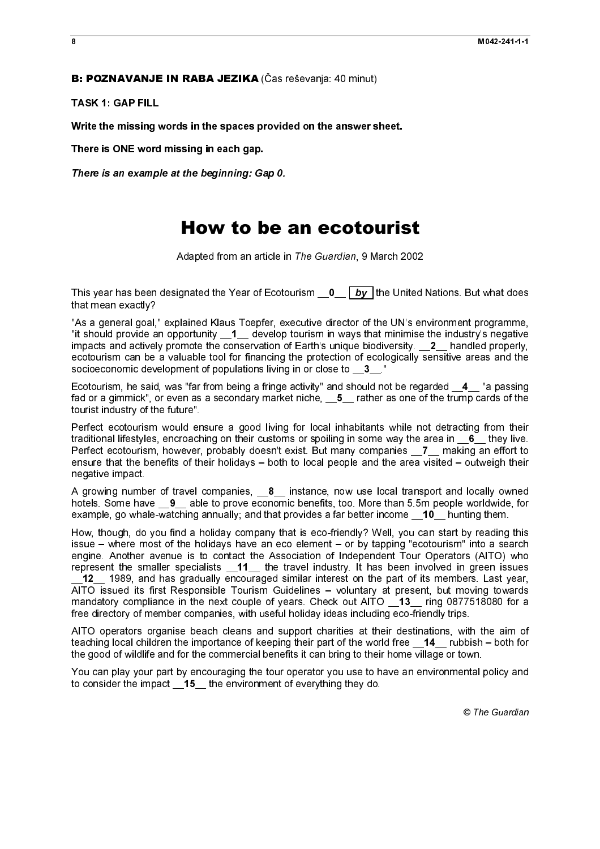TASK 1: GAP FILL

Write the missing words in the spaces provided on the answer sheet.

There is ONE word missing in each gap.

## How to be an ecotourist

Adapted from an article in The Guardian, 9 March 2002

that mean exactly?

"As a general goal," explained Klaus Toepfer, executive director of the UN's environment programme, "it should provide an opportunity \_1\_ develop tourism in ways that minimise the industry's negative impacts and actively promote the conservation of Earth's unique biodiversity. \_\_2\_\_ handled properly, ecotourism can be a valuable tool for financing the protection of ecologically sensitive areas and the socioeconomic development of populations living in or close to  $\sim$  3

Ecotourism, he said, was "far from being a fringe activity" and should not be regarded \_\_4\_\_ "a passing fad or a gimmick", or even as a secondary market niche, **\_\_5**\_\_ rather as one of the trump cards of the tourist industry of the future".

Perfect ecotourism would ensure a good living for local inhabitants while not detracting from their traditional lifestyles, encroaching on their customs or spoiling in some way the area in  $\_\,$  6 they live. Perfect ecotourism, however, probably doesn't exist. But many companies \_\_7\_\_ making an effort to ensure that the benefits of their holidays – both to local people and the area visited – outweigh their negative impact.

A growing number of travel companies,  $\_\,$ 8 $\_\,$  instance, now use local transport and locally owned hotels. Some have  $\theta$  able to prove economic benefits, too. More than 5.5m people worldwide, for example, go whale-watching annually; and that provides a far better income  $\overline{\phantom{a}}$  10 hunting them.

**B: POZNAVANJE IN RABA JEZIKA** (Čas reševanja: 40 minut)<br>TASK 1: GAP FILL<br>Write the missing words in the spaces provided on the answers<br>There is ONE word missing in each gap.<br>There is one wample at the beginning: Gap 0.<br>Th There is an example at the beginning: Gap 0.<br>
Adapted from an article in<br>
Adapted from an article in<br>
This year has been designated the Year of Ecott<br>
that mean exactly?<br>
"As a general goal," explained Klaus Toepfer, ex<br>
T This year has been designated the Year of Ecotourism  $\underline{.0} = \underline{[by]}$  the United Nations. But what does<br>This mean exactly?<br>
"As a general goal." exploite Klaus Toepfer, executive director of the UNIs environment programme, How, though, do you find a holiday company that is eco-friendly? Well, you can start by reading this issue – where most of the holidays have an eco element – or by tapping "ecotourism" into a search engine. Another avenue is to contact the Association of Independent Tour Operators (AITO) who represent the smaller specialists \_11\_ the travel industry. It has been involved in green issues \_\_12\_\_ 1989, and has gradually encouraged similar interest on the part of its members. Last year, AITO issued its first Responsible Tourism Guidelines – voluntary at present, but moving towards mandatory compliance in the next couple of years. Check out AITO **13** ring 0877518080 for a free directory of member companies, with useful holiday ideas including eco-friendly trips.

AITO operators organise beach cleans and support charities at their destinations, with the aim of teaching local children the importance of keeping their part of the world free \_\_14\_\_ rubbish – both for the good of wildlife and for the commercial benefits it can bring to their home village or town.

You can play your part by encouraging the tour operator you use to have an environmental policy and to consider the impact 15 the environment of everything they do.

© The Guardian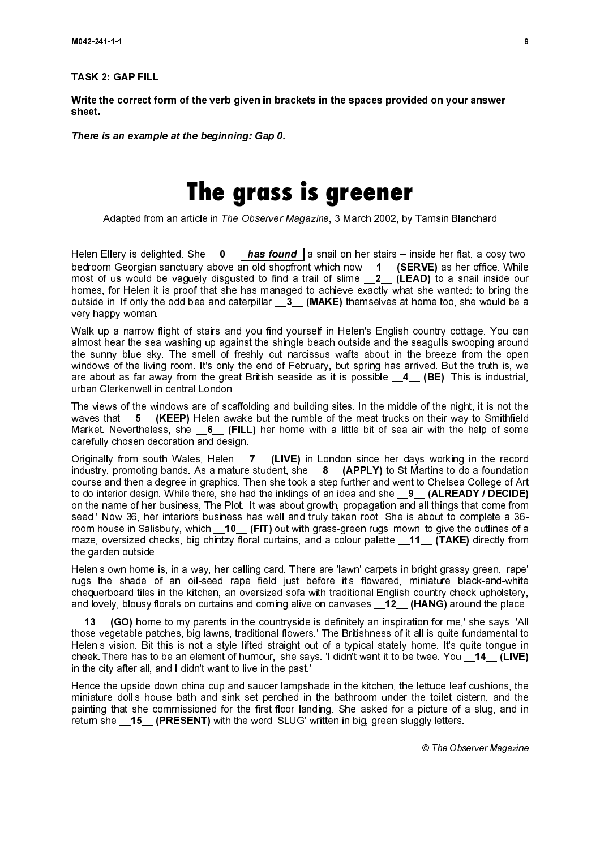TASK 2: GAP FILL

Write the correct form of the verb given in brackets in the spaces provided on your answer sheet.

There is an example at the beginning: Gap 0.

# **The grass is greener**

Adapted from an article in The Observer Magazine, 3 March 2002, by Tamsin Blanchard

bedroom Georgian sanctuary above an old shopfront which now \_1\_ (SERVE) as her office. While most of us would be vaguely disgusted to find a trail of slime  $2$  (LEAD) to a snail inside our homes, for Helen it is proof that she has managed to achieve exactly what she wanted: to bring the outside in. If only the odd bee and caterpillar \_\_3\_ (MAKE) themselves at home too, she would be a very happy woman.

Walk up a narrow flight of stairs and you find yourself in Helen's English country cottage. You can almost hear the sea washing up against the shingle beach outside and the seagulls swooping around the sunny blue sky. The smell of freshly cut narcissus wafts about in the breeze from the open windows of the living room. It's only the end of February, but spring has arrived. But the truth is, we are about as far away from the great British seaside as it is possible  $_4$  (BE). This is industrial, urban Clerkenwell in central London.

The views of the windows are of scaffolding and building sites. In the middle of the night, it is not the waves that \_5\_ (KEEP) Helen awake but the rumble of the meat trucks on their way to Smithfield Market. Nevertheless, she \_6\_ (FILL) her home with a little bit of sea air with the help of some carefully chosen decoration and design.

There is an example at the beginning: Gap 0.<br>
There is an example at the beginning: Gap 0.<br>
Helen Ellery is delighted. She  $\frac{0}{\sqrt{16}}$   $\frac{0}{\sqrt{16}}$   $\frac{0}{\sqrt{16}}$   $\frac{0}{\sqrt{16}}$   $\frac{0}{\sqrt{16}}$  bedroom Georgian sanctuary ab Adapted from an article in The Observer Magazine, 3 March 2002, by Tamsin Blanchard Helen Eler State and the state of the state of the found a snail on her state - mush her the lat, a cosy two-<br>Helen Elery is delighted. She cosy two-<br>sections found a state of the state found a state of the state of the st Originally from south Wales, Helen \_7\_ (LIVE) in London since her days working in the record industry, promoting bands. As a mature student, she \_\_8\_\_ (APPLY) to St Martins to do a foundation course and then a degree in graphics. Then she took a step further and went to Chelsea College of Art to do interior design. While there, she had the inklings of an idea and she **9** (ALREADY / DECIDE) on the name of her business, The Plot. 'It was about growth, propagation and all things that come from seed.' Now 36, her interiors business has well and truly taken root. She is about to complete a 36 room house in Salisbury, which \_\_10\_\_ (FIT) out with grass-green rugs 'mown' to give the outlines of a maze, oversized checks, big chintzy floral curtains, and a colour palette \_\_11\_\_ (TAKE) directly from the garden outside.

Helen's own home is, in a way, her calling card. There are 'lawn' carpets in bright grassy green, 'rape' rugs the shade of an oil-seed rape field just before it's flowered, miniature black-and-white chequerboard tiles in the kitchen, an oversized sofa with traditional English country check upholstery, and lovely, blousy florals on curtains and coming alive on canvases **12** (HANG) around the place.

13 (GO) home to my parents in the countryside is definitely an inspiration for me,' she says. 'All those vegetable patches, big lawns, traditional flowers.' The Britishness of it all is quite fundamental to Helen's vision. Bit this is not a style lifted straight out of a typical stately home. It's quite tongue in cheek.'There has to be an element of humour,' she says. 'I didn't want it to be twee. You \_\_14\_ (LIVE) in the city after all, and I didn't want to live in the past.'

Hence the upside-down china cup and saucer lampshade in the kitchen, the lettuce-leaf cushions, the miniature doll's house bath and sink set perched in the bathroom under the toilet cistern, and the painting that she commissioned for the first-floor landing. She asked for a picture of a slug, and in return she \_\_15\_\_ (PRESENT) with the word 'SLUG' written in big, green sluggly letters.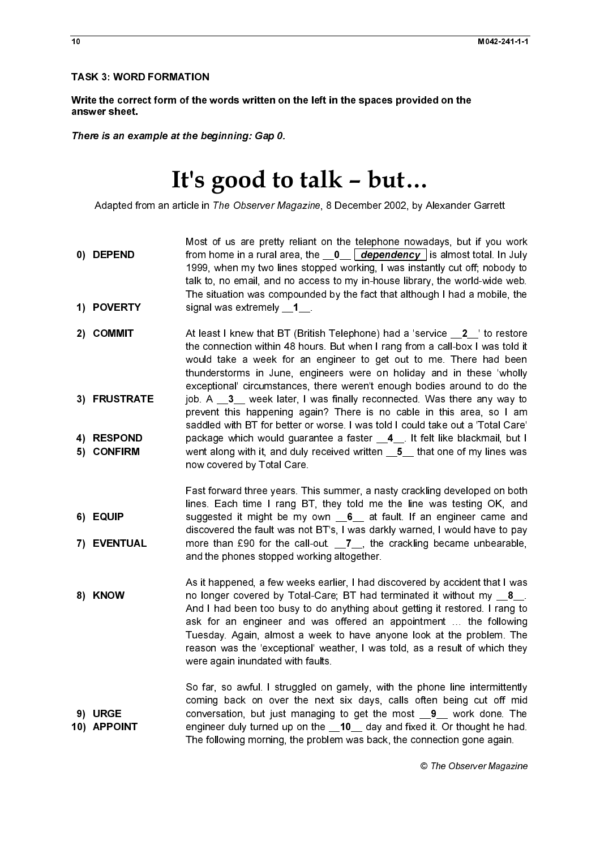# It's good to talk – but…

- Most of us are pretty reliant on the telephone nowadays, but if you work 1999, when my two lines stopped working, I was instantly cut off; nobody to talk to, no email, and no access to my in-house library, the world-wide web. The situation was compounded by the fact that although I had a mobile, the
- Write the correct form of the values<br>
There is an example at the be<br>
There is an example at the be<br>
There is an example at the be<br>
The start of the start<br>
1999, talk to<br>
The start of the conduct the conduct<br>
The start of t answer sheet.<br> **IT's good to talk** – but  $\ldots$ <br>
Adapted from an article in The *Observer Magezine*. 8 December 2002, by Alexander<br> **Most of us are protty relant on the <u>wordbore nowadays</u>, but<br>
10) DEPEND<br>
10) MOSt of us** There is an examples<br>Adapted from<br>1) POVERTY<br>2) COMMIT<br>3) FRUSTRA<br>4) RESPOND<br>5) CONFIRM<br>6) EQUIP<br>7) EVENTUA<br>8) KNOW<br>8) URGE<br>10) APPOINT THAT SUND MOVED INTO THE SUND MOVED AND DRIVING THE SUND THE SUND THE SUND THE SUND ON THE SUND WAS USED WHEN THE SUND WITHOUT A LIMIT THE SUND WAS EXTERNED TO COMMUNIT At least 1 knew that BT the connection within 4 and t Adapted from an article in The Observer Magazine, 8 December 2002, by Alexander Garrett<br>
Mant of us are orethy reliefation to the tells phone rowandomy but if your but<br>
from home in a unit area to be a dispersion for the 1) POVERT)<br>2) COMMIT<br>3) FRUSTRA<br>4) RESPONI<br>5) CONFIRM<br>6) EQUIP<br>7) EVENTUA<br>8) KNOW<br>10) APPOINT 2) COMMIT<br>3) FRUSTRAT<br>4) RESPOND<br>5) CONFIRM<br>6) EQUIP<br>7) EVENTUAI<br>8) KNOW<br>10) APPOINT 3) FRUSTRJ<br>4) RESPON<br>5) CONFIRM<br>6) EQUIP<br>7) EVENTUJ<br>8) KNOW<br>10) APPOINT from home in a rural area, the  $-\Delta_{\text{L}}$  dependency  $\mu$  is sincest total. In July<br>1699 when in a rural area, the  $-\Delta_{\text{L}}$  dependency is since to the interview of the fit is no email, and no access to my in-house libra signal was extremely  $\_1$ .<br>At least I knew that BT (Britite the connection within 48 hou would take a week for an thunderstorms in June, engthouse a week for an exceptional' circumstances, ijob. A  $\_3$  week later, I wer At least It knew that BT (British Telephone) had a 'service \_\_2\_' to restore<br>the connection within 48 hours. But when I rang form a call-box I was told it<br>would take a week for an engineer to get out to me. There had been the connection within 48 hours. But when I rang from a call-box I was told it would take a week for an engineer to get out to me. There had been thunderstorms in June, engineers were on holiday and in these 'wholly exceptional' circumstances, there weren't enough bodies around to do the prevent this happening again? There is no cable in this area, so I am saddled with BT for better or worse. I was told I could take out a 'Total Care' now covered by Total Care.

Fast forward three years. This summer, a nasty crackling developed on both lines. Each time I rang BT, they told me the line was testing OK, and discovered the fault was not BT's, I was darkly warned, I would have to pay and the phones stopped working altogether.

4) RESPOND<br>5) CONFIRM<br>6) EQUIP<br>7) EVENTUAL<br>8) KNOW<br>9) URGE<br>10) APPOINT 5) CONFIRM<br>6) EQUIP<br>7) EVENTUAL<br>8) KNOW<br>9) URGE<br>10) APPOINT 6) EQUIP<br>7) EVENTUAI<br>8) KNOW<br>9) URGE<br>10) APPOINT 7) EVENT<br>8) KNOW<br>9) URGE<br>10) APPOII 3) KNOW<br>9) URGE<br>10) APPOINT 9) URGE<br>10) APPOIM<br>10) APPOIM job. A  $-3$ —week later, I was finally reconnected. Was there any way to there this happening again? There is no cable in this area, so I am staded with BT for better or worse. I was told I could take out a "Total Care'<br>pa package which would guarantee a faster  $\frac{4}{-}$ . It felt like blackmail, but I<br>went along with it, and duly received written  $\frac{5}{-}$  that one of my lines was<br>now covered by Total Care.<br>Fast forward three years. This su went along with it, and duly received written  $-5$  that one of my lines was<br>now covered by Total Care.<br>Fast forward three years. This summer, a nasty crackling developed on both<br>lines. Each time I rang BT, they told me th suggested it might be my own  $\underline{6}$  at fault. If an engineer came and<br>discovered the fault was not BT's, I was darkly warned, I would have to pay<br>more than 900 for the call-out.  $\underline{7}$ , the cracking became unbearable, more than £90 for the call-out.  $\underline{\ }J$ , the crackling became unbearable,<br>and the phones stopped working altogether.<br>As it happened, a few weeks earlier, I had discovered by accident that I was<br>no longer covered by Total As it happened, a few weeks earlier, I had discovered by accident that I was no longer covered by Total-Care; BT had terminated it without my  $\_8$ \_.<br>And I had been too busy to do anything about getting it restored. I rang to<br>ask for an engineer and was offered an appointment ... the following<br>Tue And I had been too busy to do anything about getting it restored. I rang to ask for an engineer and was offered an appointment … the following Tuesday. Again, almost a week to have anyone look at the problem. The reason was the 'exceptional' weather, I was told, as a result of which they were again inundated with faults.

 $\begin{array}{c}\n1 \\
1\n\end{array}$   $\begin{array}{c}\n\mathbf{1} \\
\mathbf{2} \\
\mathbf{3} \\
\mathbf{4}\n\end{array}$   $\begin{array}{c}\n1 \\
1\n\end{array}$  $\frac{1}{2}$   $\frac{1}{2}$   $\frac{1}{2}$  $\begin{array}{c}\n\text{1} \\
\text{2} \\
\text{3} \\
\text{4}\n\end{array}$  $\begin{array}{c}\n1 \\
2\n\end{array}$  $\frac{1}{2}$  $\begin{array}{c}\n\mathbf{1} \\
\mathbf{2} \\
\mathbf{3} \\
\mathbf{4}\n\end{array}$  $\begin{array}{c}\n1 \\
2\n\end{array}$   $\begin{array}{c}\n\mathbf{1} \\
\mathbf{1}\n\end{array}$   $\frac{1}{2}$  $\begin{bmatrix} 1 \\ 1 \end{bmatrix}$  $\begin{array}{c} \n\mathbf{1} \\
\mathbf{2} \\
\mathbf{3} \\
\mathbf{4} \\
\mathbf{5} \\
\mathbf{5} \\
\mathbf{6} \\
\mathbf{6} \\
\mathbf{7} \\
\mathbf{8} \\
\mathbf{9} \\
\mathbf{1} \\
\mathbf{1} \\
\mathbf{1} \\
\mathbf{1} \\
\mathbf{2} \\
\mathbf{2} \\
\mathbf{3} \\
\mathbf{5} \\
\mathbf{1} \\
\mathbf{2} \\
\mathbf{1} \\
\mathbf{2} \\
\mathbf{3} \\
\mathbf{1} \\
\mathbf{2} \\
\mathbf{3} \\
\mathbf{1} \\
\mathbf{2} \\
\mathbf{3} \\
\$  $\frac{1}{2}$  $\frac{1}{2}$  $\begin{bmatrix} 1 \\ 1 \end{bmatrix}$  $\overline{1}$  $\overline{10)}$  APPOI 10) APPOINT So far, so awful. I struggled on gamely, with the phone line intermittently coming back on over the next six days, calls often being cut off mid conversation, but just managing to get the most <u>9</u>\_work done. The<br>engineer duly turned up on the **\_10\_** day and fixed it. Or thought he had.<br>The following morning, the problem was back, the connection gone again.<br>© The Ob engineer duly turned up on the \_\_**10**\_\_ day and fixed it. Or thought he had.<br>The following morning, the problem was back, the connection gone again.<br>© The Observer Magazine The following morning, the problem was back, the connection gone again.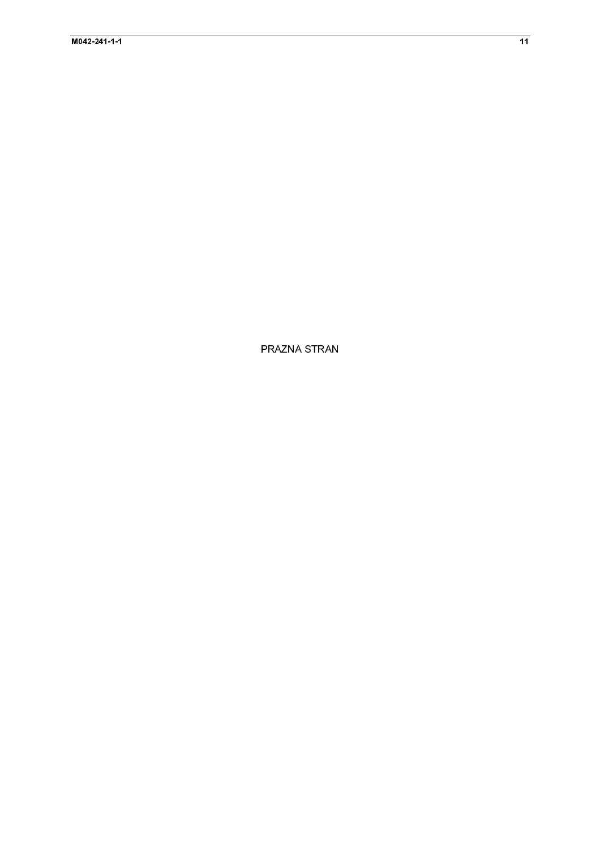PRAZNA STRAN